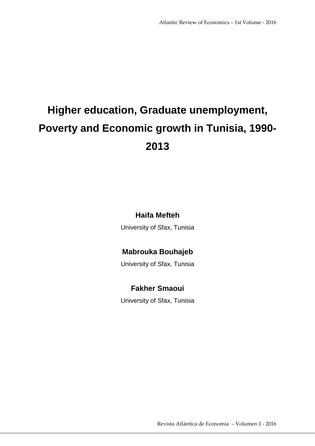# **Higher education, Graduate unemployment, Poverty and Economic growth in Tunisia, 1990- 2013**

# **Haifa Mefteh**

University of Sfax, Tunisia

# **Mabrouka Bouhajeb**

University of Sfax, Tunisia

# **Fakher Smaoui**

University of Sfax, Tunisia

Revista Atlántica de Economía – Volumen 1 ‐ 2016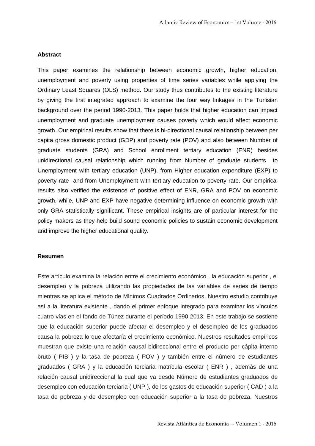#### **Abstract**

This paper examines the relationship between economic growth, higher education, unemployment and poverty using properties of time series variables while applying the Ordinary Least Squares (OLS) method. Our study thus contributes to the existing literature by giving the first integrated approach to examine the four way linkages in the Tunisian background over the period 1990-2013. This paper holds that higher education can impact unemployment and graduate unemployment causes poverty which would affect economic growth. Our empirical results show that there is bi-directional causal relationship between per capita gross domestic product (GDP) and poverty rate (POV) and also between Number of graduate students (GRA) and School enrollment tertiary education (ENR) besides unidirectional causal relationship which running from Number of graduate students to Unemployment with tertiary education (UNP), from Higher education expenditure (EXP) to poverty rate and from Unemployment with tertiary education to poverty rate. Our empirical results also verified the existence of positive effect of ENR, GRA and POV on economic growth, while, UNP and EXP have negative determining influence on economic growth with only GRA statistically significant. These empirical insights are of particular interest for the policy makers as they help build sound economic policies to sustain economic development and improve the higher educational quality.

#### **Resumen**

Este artículo examina la relación entre el crecimiento económico , la educación superior , el desempleo y la pobreza utilizando las propiedades de las variables de series de tiempo mientras se aplica el método de Mínimos Cuadrados Ordinarios. Nuestro estudio contribuye así a la literatura existente , dando el primer enfoque integrado para examinar los vínculos cuatro vías en el fondo de Túnez durante el período 1990-2013. En este trabajo se sostiene que la educación superior puede afectar el desempleo y el desempleo de los graduados causa la pobreza lo que afectaría el crecimiento económico. Nuestros resultados empíricos muestran que existe una relación causal bidireccional entre el producto per cápita interno bruto ( PIB ) y la tasa de pobreza ( POV ) y también entre el número de estudiantes graduados ( GRA ) y la educación terciaria matrícula escolar ( ENR ) , además de una relación causal unidireccional la cual que va desde Número de estudiantes graduados de desempleo con educación terciaria ( UNP ), de los gastos de educación superior ( CAD ) a la tasa de pobreza y de desempleo con educación superior a la tasa de pobreza. Nuestros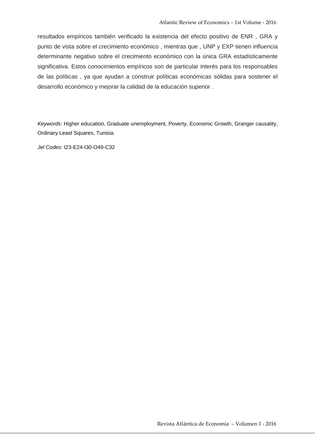resultados empíricos también verificado la existencia del efecto positivo de ENR , GRA y punto de vista sobre el crecimiento económico , mientras que , UNP y EXP tienen influencia determinante negativo sobre el crecimiento económico con la única GRA estadísticamente significativa. Estos conocimientos empíricos son de particular interés para los responsables de las políticas , ya que ayudan a construir políticas económicas sólidas para sostener el desarrollo económico y mejorar la calidad de la educación superior .

Keywords: Higher education, Graduate unemployment, Poverty, Economic Growth, Granger causality, Ordinary Least Squares, Tunisia.

Jel Codes: I23-E24-I30-O49-C32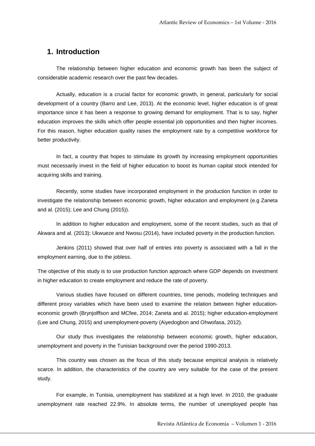# **1. Introduction**

 The relationship between higher education and economic growth has been the subject of considerable academic research over the past few decades.

 Actually, education is a crucial factor for economic growth, in general, particularly for social development of a country (Barro and Lee, 2013). At the economic level, higher education is of great importance since it has been a response to growing demand for employment. That is to say, higher education improves the skills which offer people essential job opportunities and then higher incomes. For this reason, higher education quality raises the employment rate by a competitive workforce for better productivity.

 In fact, a country that hopes to stimulate its growth by increasing employment opportunities must necessarily invest in the field of higher education to boost its human capital stock intended for acquiring skills and training.

 Recently, some studies have incorporated employment in the production function in order to investigate the relationship between economic growth, higher education and employment (e.g Zaneta and al. (2015); Lee and Chung (2015)).

 In addition to higher education and employment, some of the recent studies, such as that of Akwara and al. (2013); Ukwueze and Nwosu (2014), have included poverty in the production function.

 Jenkins (2011) showed that over half of entries into poverty is associated with a fall in the employment earning, due to the jobless.

The objective of this study is to use production function approach where GDP depends on investment in higher education to create employment and reduce the rate of poverty.

 Various studies have focused on different countries, time periods, modeling techniques and different proxy variables which have been used to examine the relation between higher educationeconomic growth (Brynjolffson and MCfee, 2014; Zaneta and al. 2015); higher education-employment (Lee and Chung, 2015) and unemployment-poverty (Aiyedogbon and Ohwofasa, 2012).

 Our study thus investigates the relationship between economic growth, higher education, unemployment and poverty in the Tunisian background over the period 1990-2013.

 This country was chosen as the focus of this study because empirical analysis is relatively scarce. In addition, the characteristics of the country are very suitable for the case of the present study.

 For example, in Tunisia, unemployment has stabilized at a high level. In 2010, the graduate unemployment rate reached 22.9%. In absolute terms, the number of unemployed people has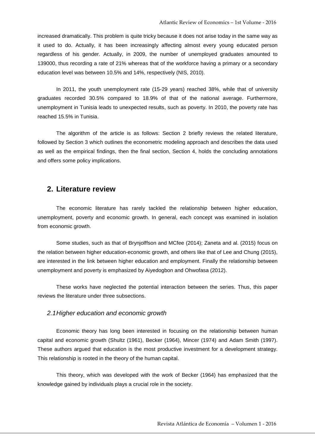increased dramatically. This problem is quite tricky because it does not arise today in the same way as it used to do. Actually, it has been increasingly affecting almost every young educated person regardless of his gender. Actually, in 2009, the number of unemployed graduates amounted to 139000, thus recording a rate of 21% whereas that of the workforce having a primary or a secondary education level was between 10.5% and 14%, respectively (NIS, 2010).

 In 2011, the youth unemployment rate (15-29 years) reached 38%, while that of university graduates recorded 30.5% compared to 18.9% of that of the national average. Furthermore, unemployment in Tunisia leads to unexpected results, such as poverty. In 2010, the poverty rate has reached 15.5% in Tunisia.

 The algorithm of the article is as follows: Section 2 briefly reviews the related literature, followed by Section 3 which outlines the econometric modeling approach and describes the data used as well as the empirical findings, then the final section, Section 4, holds the concluding annotations and offers some policy implications.

## **2. Literature review**

 The economic literature has rarely tackled the relationship between higher education, unemployment, poverty and economic growth. In general, each concept was examined in isolation from economic growth.

 Some studies, such as that of Brynjolffson and MCfee (2014); Zaneta and al. (2015) focus on the relation between higher education-economic growth, and others like that of Lee and Chung (2015), are interested in the link between higher education and employment. Finally the relationship between unemployment and poverty is emphasized by Aiyedogbon and Ohwofasa (2012).

 These works have neglected the potential interaction between the series. Thus, this paper reviews the literature under three subsections.

#### 2.1 Higher education and economic growth

 Economic theory has long been interested in focusing on the relationship between human capital and economic growth (Shultz (1961), Becker (1964), Mincer (1974) and Adam Smith (1997). These authors argued that education is the most productive investment for a development strategy. This relationship is rooted in the theory of the human capital.

 This theory, which was developed with the work of Becker (1964) has emphasized that the knowledge gained by individuals plays a crucial role in the society.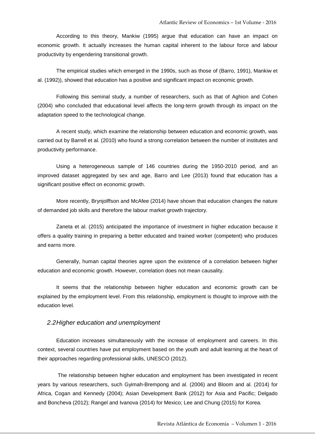According to this theory, Mankiw (1995) argue that education can have an impact on economic growth. It actually increases the human capital inherent to the labour force and labour productivity by engendering transitional growth.

 The empirical studies which emerged in the 1990s, such as those of (Barro, 1991), Mankiw et al. (1992)), showed that education has a positive and significant impact on economic growth.

 Following this seminal study, a number of researchers, such as that of Aghion and Cohen (2004) who concluded that educational level affects the long-term growth through its impact on the adaptation speed to the technological change.

 A recent study, which examine the relationship between education and economic growth, was carried out by Barrell et al. (2010) who found a strong correlation between the number of institutes and productivity performance.

 Using a heterogeneous sample of 146 countries during the 1950-2010 period, and an improved dataset aggregated by sex and age, Barro and Lee (2013) found that education has a significant positive effect on economic growth.

 More recently, Brynjolffson and McAfee (2014) have shown that education changes the nature of demanded job skills and therefore the labour market growth trajectory.

 Zaneta et al. (2015) anticipated the importance of investment in higher education because it offers a quality training in preparing a better educated and trained worker (competent) who produces and earns more.

 Generally, human capital theories agree upon the existence of a correlation between higher education and economic growth. However, correlation does not mean causality.

 It seems that the relationship between higher education and economic growth can be explained by the employment level. From this relationship, employment is thought to improve with the education level.

#### 2.2 Higher education and unemployment

 Education increases simultaneously with the increase of employment and careers. In this context, several countries have put employment based on the youth and adult learning at the heart of their approaches regarding professional skills, UNESCO (2012).

The relationship between higher education and employment has been investigated in recent years by various researchers, such Gyimah-Brempong and al. (2006) and Bloom and al. (2014) for Africa, Cogan and Kennedy (2004); Asian Development Bank (2012) for Asia and Pacific; Delgado and Boncheva (2012); Rangel and Ivanova (2014) for Mexico; Lee and Chung (2015) for Korea.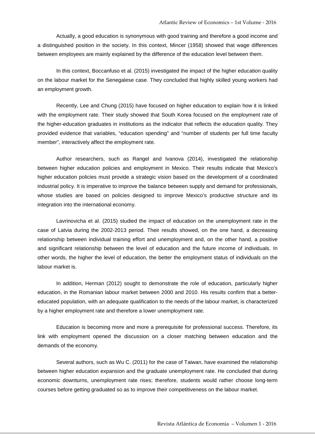Actually, a good education is synonymous with good training and therefore a good income and a distinguished position in the society. In this context, Mincer (1958) showed that wage differences between employees are mainly explained by the difference of the education level between them.

 In this context, Boccanfuso et al. (2015) investigated the impact of the higher education quality on the labour market for the Senegalese case. They concluded that highly skilled young workers had an employment growth.

 Recently, Lee and Chung (2015) have focused on higher education to explain how it is linked with the employment rate. Their study showed that South Korea focused on the employment rate of the higher-education graduates in institutions as the indicator that reflects the education quality. They provided evidence that variables, "education spending" and "number of students per full time faculty member", interactively affect the employment rate.

 Author researchers, such as Rangel and Ivanova (2014), investigated the relationship between higher education policies and employment in Mexico. Their results indicate that Mexico's higher education policies must provide a strategic vision based on the development of a coordinated industrial policy. It is imperative to improve the balance between supply and demand for professionals, whose studies are based on policies designed to improve Mexico's productive structure and its integration into the international economy.

 Lavrinovicha et al. (2015) studied the impact of education on the unemployment rate in the case of Latvia during the 2002-2013 period. Their results showed, on the one hand, a decreasing relationship between individual training effort and unemployment and, on the other hand, a positive and significant relationship between the level of education and the future income of individuals. In other words, the higher the level of education, the better the employment status of individuals on the labour market is.

 In addition, Herman (2012) sought to demonstrate the role of education, particularly higher education, in the Romanian labour market between 2000 and 2010. His results confirm that a bettereducated population, with an adequate qualification to the needs of the labour market, is characterized by a higher employment rate and therefore a lower unemployment rate.

 Education is becoming more and more a prerequisite for professional success. Therefore, its link with employment opened the discussion on a closer matching between education and the demands of the economy.

 Several authors, such as Wu C. (2011) for the case of Taiwan, have examined the relationship between higher education expansion and the graduate unemployment rate. He concluded that during economic downturns, unemployment rate rises; therefore, students would rather choose long-term courses before getting graduated so as to improve their competitiveness on the labour market.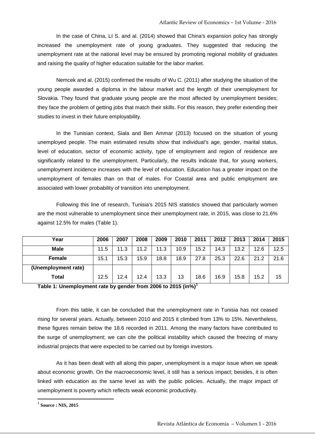In the case of China, LI S. and al. (2014) showed that China's expansion policy has strongly increased the unemployment rate of young graduates. They suggested that reducing the unemployment rate at the national level may be ensured by promoting regional mobility of graduates and raising the quality of higher education suitable for the labor market.

 Nemcek and al. (2015) confirmed the results of Wu C. (2011) after studying the situation of the young people awarded a diploma in the labour market and the length of their unemployment for Slovakia. They found that graduate young people are the most affected by unemployment besides; they face the problem of getting jobs that match their skills. For this reason, they prefer extending their studies to invest in their future employability.

 In the Tunisian context, Siala and Ben Ammar (2013) focused on the situation of young unemployed people. The main estimated results show that individual's age, gender, marital status, level of education, sector of economic activity, type of employment and region of residence are significantly related to the unemployment. Particularly, the results indicate that, for young workers, unemployment incidence increases with the level of education. Education has a greater impact on the unemployment of females than on that of males. For Coastal area and public employment are associated with lower probability of transition into unemployment.

 Following this line of research, Tunisia's 2015 NIS statistics showed that particularly women are the most vulnerable to unemployment since their unemployment rate, in 2015, was close to 21.6% against 12.5% for males (Table 1).

| Year                | 2006 | 2007 | 2008 | 2009 | 2010 | 2011 | 2012 | 2013 | 2014 | 2015 |
|---------------------|------|------|------|------|------|------|------|------|------|------|
| <b>Male</b>         | 11.5 | 11.3 | 11.2 | 11.3 | 10.9 | 15.2 | 14.3 | 13.2 | 12.6 | 12.5 |
| <b>Female</b>       | 15.1 | 15.3 | 15.9 | 18.8 | 18.9 | 27.8 | 25.3 | 22.6 | 21.2 | 21.6 |
| (Unemployment rate) |      |      |      |      |      |      |      |      |      |      |
| Total               | 12.5 | 12.4 | 12.4 | 13.3 | 13   | 18.6 | 16.9 | 15.8 | 15.2 | 15   |

**Table 1: Unemployment rate by gender from 2006 to 2015 (in%)<sup>1</sup>**

 From this table, it can be concluded that the unemployment rate in Tunisia has not ceased rising for several years. Actually, between 2010 and 2015 it climbed from 13% to 15%. Nevertheless, these figures remain below the 18.6 recorded in 2011. Among the many factors have contributed to the surge of unemployment; we can cite the political instability which caused the freezing of many industrial projects that were expected to be carried out by foreign investors.

 As it has been dealt with all along this paper, unemployment is a major issue when we speak about economic growth. On the macroeconomic level, it still has a serious impact; besides, it is often linked with education as the same level as with the public policies. Actually, the major impact of unemployment is poverty which reflects weak economic productivity.

1 **Source : NIS, 2015**

l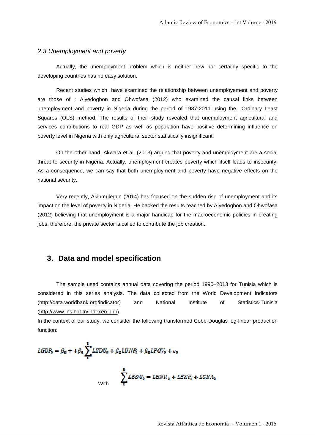#### 2.3 Unemployment and poverty

 Actually, the unemployment problem which is neither new nor certainly specific to the developing countries has no easy solution.

 Recent studies which have examined the relationship between unemployement and poverty are those of : Aiyedogbon and Ohwofasa (2012) who examined the causal links between unemployment and poverty in Nigeria during the period of 1987-2011 using the Ordinary Least Squares (OLS) method. The results of their study revealed that unemployment agricultural and services contributions to real GDP as well as population have positive determining influence on poverty level in Nigeria with only agricultural sector statistically insignificant.

 On the other hand, Akwara et al. (2013) argued that poverty and unemployment are a social threat to security in Nigeria. Actually, unemployment creates poverty which itself leads to insecurity. As a consequence, we can say that both unemployment and poverty have negative effects on the national security.

 Very recently, Akinmulegun (2014) has focused on the sudden rise of unemployment and its impact on the level of poverty in Nigeria. He backed the results reached by Aiyedogbon and Ohwofasa (2012) believing that unemployment is a major handicap for the macroeconomic policies in creating jobs, therefore, the private sector is called to contribute the job creation.

## **3. Data and model specification**

 The sample used contains annual data covering the period 1990–2013 for Tunisia which is considered in this series analysis. The data collected from the World Development Indicators (http://data.worldbank.org/indicator) and National Institute of Statistics-Tunisia (http://www.ins.nat.tn/indexen.php).

In the context of our study, we consider the following transformed Cobb-Douglas log-linear production function:

$$
LGDP_{\epsilon} = \beta_0 + \beta_1 \sum_{i=1}^{3} LEDU_{\epsilon} + \beta_2 LUNP_{\epsilon} + \beta_2 LPOV_{\epsilon} + \varepsilon_{\epsilon}
$$

$$
\sum_{i=1}^{3} LEDU_{\epsilon} = LENR_{\epsilon} + LEXP_{\epsilon} + LGRA_{\epsilon}
$$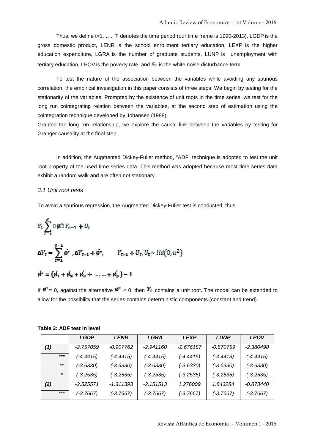Thus, we define t=1, …., T denotes the time period (our time frame is 1990-2013), LGDP is the gross domestic product, LENR is the school enrollment tertiary education, LEXP is the higher education expenditure, LGRA is the number of graduate students, LUNP is unemployment with tertiary education, LPOV is the poverty rate, and  $\mathcal{E}_t$  is the white noise disturbance term.

 To test the nature of the association between the variables while avoiding any spurious correlation, the empirical investigation in this paper consists of three steps: We begin by testing for the stationarity of the variables. Prompted by the existence of unit roots in the time series, we test for the long run cointegrating relation between the variables, at the second step of estimation using the cointegration technique developed by Johansen (1988).

Granted the long run relationship, we explore the causal link between the variables by testing for Granger causality at the final step.

 In addition, the Augmented Dickey-Fuller method, "ADF" technique is adopted to test the unit root property of the used time series data. This method was adopted because most time series data exhibit a random walk and are often not stationary.

#### 3.1 Unit root tests

To avoid a spurious regression, the Augmented Dickey-Fuller test is conducted, thus:

$$
Y_{t} \sum_{t=1}^{p} \Box \phi \Box Y_{t-1} + U_{t}
$$
  
\n
$$
\Delta Y_{t} = \sum_{t=1}^{p-1} \phi^{*} \cdot \Delta Y_{t-1} + \phi^{*}, \qquad Y_{t-1} + U_{t}, U_{t} \sim tid(0, u^{2})
$$
  
\n
$$
\phi^{*} = (\phi_{t} + \phi_{2} + \phi_{2} + \dots + \phi_{n}) - 1
$$

If  $\mathbf{\emptyset}^* = 0$ , against the alternative  $\mathbf{\emptyset}^* < 0$ , then  $Y_t$  contains a unit root. The model can be extended to allow for the possibility that the series contains deterministic components (constant and trend).

|     |         | <b>LGDP</b> | <b>LENR</b> | LGRA        | <b>LEXP</b> | <b>LUNP</b> | LPOV        |
|-----|---------|-------------|-------------|-------------|-------------|-------------|-------------|
| (1) |         | $-2.757059$ | $-0.907762$ | $-2.941160$ | $-2.676187$ | $-0.570759$ | $-2.380498$ |
|     | $***$   | $(-4.4415)$ | $(-4.4415)$ | $(-4.4415)$ | $(-4.4415)$ | (-4.4415)   | $(-4.4415)$ |
|     | $***$   | $(-3.6330)$ | $(-3.6330)$ | $(-3.6330)$ | $(-3.6330)$ | $(-3.6330)$ | $(-3.6330)$ |
|     | $\star$ | $(-3.2535)$ | $(-3.2535)$ | $(-3.2535)$ | $(-3.2535)$ | $(-3.2535)$ | $(-3.2535)$ |
| (2) |         | $-2.525571$ | $-1.311393$ | $-2.151513$ | 1.276009    | 1.843284    | -0.873440   |
|     | $***$   | $(-3.7667)$ | $(-3.7667)$ | $(-3.7667)$ | $(-3.7667)$ | $(-3.7667)$ | $(-3.7667)$ |

| Table 2: ADF test in level |  |  |  |  |  |
|----------------------------|--|--|--|--|--|
|----------------------------|--|--|--|--|--|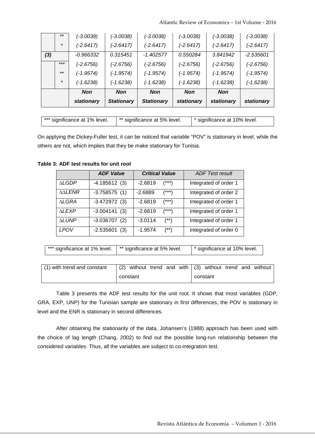Atlantic Review of Economics – 1st Volume ‐ 2016

|     |         | stationary  | <b>Stationary</b> | <b>Stationary</b> | stationary  | stationary  | stationary  |
|-----|---------|-------------|-------------------|-------------------|-------------|-------------|-------------|
|     |         | <b>Non</b>  | <b>Non</b>        | <b>Non</b>        | <b>Non</b>  | <b>Non</b>  |             |
|     | $\star$ | (-1.6238)   | $(-1.6238)$       | (-1.6238)         | (-1.6238)   | $(-1.6238)$ | $(-1.6238)$ |
|     | $***$   | (-1.9574)   | (-1.9574)         | $(-1.9574)$       | (-1.9574)   | $(-1.9574)$ | $(-1.9574)$ |
|     | $***$   | (-2.6756)   | (-2.6756)         | (-2.6756)         | (-2.6756)   | $(-2.6756)$ | $(-2.6756)$ |
| (3) |         | -0.966332   | 0.315451          | $-1.402577$       | 0.550284    | 3.841942    | $-2.535601$ |
|     | $\star$ | $(-2.6417)$ | $(-2.6417)$       | $(-2.6417)$       | $(-2.6417)$ | $(-2.6417)$ | $(-2.6417)$ |
|     | $***$   | (-3.0038)   | $(-3.0038)$       | $(-3.0038)$       | $(-3.0038)$ | $(-3.0038)$ | $(-3.0038)$ |

| *** significance at 1% level. | ** significance at 5% level. | * significance at 10% level. |
|-------------------------------|------------------------------|------------------------------|

On applying the Dickey-Fuller test, it can be noticed that variable "POV" is stationary in level, while the others are not, which implies that they be make stationary for Tunisia.

|               | <b>ADF Value</b> | <b>Critical Value</b> | <b>ADF Test result</b> |
|---------------|------------------|-----------------------|------------------------|
| <b>ALGDP</b>  | $-4.185612(3)$   | $-2.6819$<br>$(***)$  | Integrated of order 1  |
| <b>AALENR</b> | $-3.758575(1)$   | $(***)$<br>$-2.6889$  | Integrated of order 2  |
| <b>ALGRA</b>  | $-3.472972(3)$   | $-2.6819$<br>$(***)$  | Integrated of order 1  |
| <b>ALEXP</b>  | $-3.004141(3)$   | $-2.6819$<br>$(***)$  | Integrated of order 1  |
| <b>ALUNP</b>  | $-3.036707(2)$   | $-3.0114$<br>$^{(*)}$ | Integrated of order 1  |
| LPOV          | $-2.535601$ (3)  | $-1.9574$<br>$(**)$   | Integrated of order 0  |

**Table 3: ADF test results for unit root** 

|  | *** significance at 1% level. | ** significance at 5% level. | * significance at 10% level. |
|--|-------------------------------|------------------------------|------------------------------|
|--|-------------------------------|------------------------------|------------------------------|

| (1) with trend and constant $ (2)$ without trend and with $ (3)$ without trend and without |          |  |  |  |  |          |  |  |
|--------------------------------------------------------------------------------------------|----------|--|--|--|--|----------|--|--|
|                                                                                            | constant |  |  |  |  | constant |  |  |

 Table 3 presents the ADF test results for the unit root. It shows that most variables (GDP, GRA, EXP, UNP) for the Tunisian sample are stationary in first differences, the POV is stationary in level and the ENR is stationary in second differences.

 After obtaining the stationarity of the data, Johansen's (1988) approach has been used with the choice of lag length (Chang, 2002) to find out the possible long-run relationship between the considered variables. Thus, all the variables are subject to co-integration test.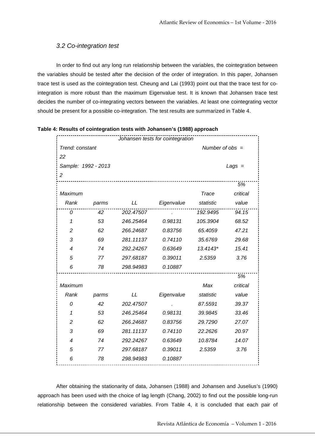### 3.2 Co-integration test

 In order to find out any long run relationship between the variables, the cointegration between the variables should be tested after the decision of the order of integration. In this paper, Johansen trace test is used as the cointegration test. Cheung and Lai (1993) point out that the trace test for cointegration is more robust than the maximum Eigenvalue test. It is known that Johansen trace test decides the number of co-integrating vectors between the variables. At least one cointegrating vector should be present for a possible co-integration. The test results are summarized in Table 4.

|                     |       |           | Johansen tests for cointegration |                   |          |
|---------------------|-------|-----------|----------------------------------|-------------------|----------|
| Trend: constant     |       |           |                                  | Number of $obs =$ |          |
| 22                  |       |           |                                  |                   |          |
| Sample: 1992 - 2013 |       |           |                                  |                   | $Lags =$ |
| $\overline{c}$      |       |           |                                  |                   |          |
|                     |       |           |                                  |                   | 5%       |
| Maximum             |       |           |                                  | <b>Trace</b>      | critical |
| Rank                | parms | LL        | Eigenvalue                       | statistic         | value    |
| 0                   | 42    | 202.47507 |                                  | 192.9495          | 94.15    |
| 1                   | 53    | 246.25464 | 0.98131                          | 105.3904          | 68.52    |
| $\overline{c}$      | 62    | 266.24687 | 0.83756                          | 65.4059           | 47.21    |
| 3                   | 69    | 281.11137 | 0.74110                          | 35.6769           | 29.68    |
| 4                   | 74    | 292.24267 | 0.63649                          | 13.4143*          | 15.41    |
| 5                   | 77    | 297.68187 | 0.39011                          | 2.5359            | 3.76     |
| 6                   | 78    | 298.94983 | 0.10887                          |                   |          |
|                     |       |           |                                  |                   | 5%       |
| Maximum             |       |           |                                  | Max               | critical |
| Rank                | parms | LL        | Eigenvalue                       | statistic         | value    |
| 0                   | 42    | 202.47507 |                                  | 87.5591           | 39.37    |
| 1                   | 53    | 246.25464 | 0.98131                          | 39.9845           | 33.46    |
| 2                   | 62    | 266.24687 | 0.83756                          | 29.7290           | 27.07    |
| 3                   | 69    | 281.11137 | 0.74110                          | 22.2626           | 20.97    |
| 4                   | 74    | 292.24267 | 0.63649                          | 10.8784           | 14.07    |
| 5                   | 77    | 297.68187 | 0.39011                          | 2.5359            | 3.76     |
| 6                   | 78    | 298.94983 | 0.10887                          |                   |          |
|                     |       |           |                                  |                   |          |

**Table 4: Results of cointegration tests with Johansen's (1988) approach**

 After obtaining the stationarity of data, Johansen (1988) and Johansen and Juselius's (1990) approach has been used with the choice of lag length (Chang, 2002) to find out the possible long-run relationship between the considered variables. From Table 4, it is concluded that each pair of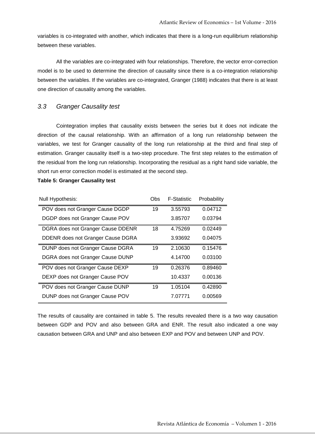variables is co-integrated with another, which indicates that there is a long-run equilibrium relationship between these variables.

 All the variables are co-integrated with four relationships. Therefore, the vector error-correction model is to be used to determine the direction of causality since there is a co-integration relationship between the variables. If the variables are co-integrated, Granger (1988) indicates that there is at least one direction of causality among the variables.

#### 3.3 Granger Causality test

 Cointegration implies that causality exists between the series but it does not indicate the direction of the causal relationship. With an affirmation of a long run relationship between the variables, we test for Granger causality of the long run relationship at the third and final step of estimation. Granger causality itself is a two-step procedure. The first step relates to the estimation of the residual from the long run relationship. Incorporating the residual as a right hand side variable, the short run error correction model is estimated at the second step.

#### **Table 5: Granger Causality test**

| Null Hypothesis:                  | Obs | <b>F-Statistic</b> | Probability |
|-----------------------------------|-----|--------------------|-------------|
| POV does not Granger Cause DGDP   | 19  | 3.55793            | 0.04712     |
| DGDP does not Granger Cause POV   |     | 3.85707            | 0.03794     |
| DGRA does not Granger Cause DDENR | 18  | 4.75269            | 0.02449     |
| DDENR does not Granger Cause DGRA |     | 3.93692            | 0.04075     |
| DUNP does not Granger Cause DGRA  | 19  | 2.10630            | 0.15476     |
| DGRA does not Granger Cause DUNP  |     | 4.14700            | 0.03100     |
| POV does not Granger Cause DEXP   | 19  | 0.26376            | 0.89460     |
| DEXP does not Granger Cause POV   |     | 10.4337            | 0.00136     |
| POV does not Granger Cause DUNP   | 19  | 1.05104            | 0.42890     |
| DUNP does not Granger Cause POV   |     | 7.07771            | 0.00569     |

The results of causality are contained in table 5. The results revealed there is a two way causation between GDP and POV and also between GRA and ENR. The result also indicated a one way causation between GRA and UNP and also between EXP and POV and between UNP and POV.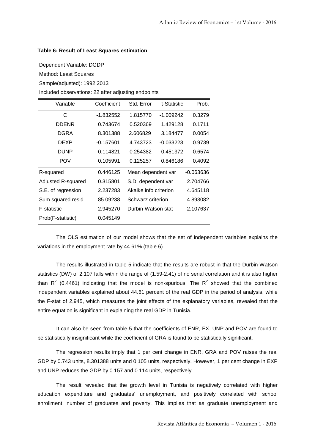#### **Table 6: Result of Least Squares estimation**

Dependent Variable: DGDP

Method: Least Squares

Sample(adjusted): 1992 2013

Included observations: 22 after adjusting endpoints

| Variable           | Coefficient | Std. Error            | t-Statistic | Prob.       |
|--------------------|-------------|-----------------------|-------------|-------------|
| С                  | -1.832552   | 1.815770              | -1.009242   | 0.3279      |
| <b>DDENR</b>       | 0.743674    | 0.520369              | 1.429128    | 0.1711      |
| DGRA               | 8.301388    | 2.606829              | 3.184477    | 0.0054      |
| DEXP               | $-0.157601$ | 4.743723              | $-0.033223$ | 0.9739      |
| <b>DUNP</b>        | $-0.114821$ | 0.254382              | $-0.451372$ | 0.6574      |
| <b>POV</b>         | 0.105991    | 0.125257              | 0.846186    | 0.4092      |
| R-squared          | 0.446125    | Mean dependent var    |             | $-0.063636$ |
| Adjusted R-squared | 0.315801    | S.D. dependent var    |             | 2.704766    |
| S.E. of regression | 2.237283    | Akaike info criterion |             | 4.645118    |
| Sum squared resid  | 85.09238    | Schwarz criterion     |             | 4.893082    |
| F-statistic        | 2.945270    | Durbin-Watson stat    |             | 2.107637    |
| Prob(F-statistic)  | 0.045149    |                       |             |             |

 The OLS estimation of our model shows that the set of independent variables explains the variations in the employment rate by 44.61% (table 6).

 The results illustrated in table 5 indicate that the results are robust in that the Durbin-Watson statistics (DW) of 2.107 falls within the range of (1.59-2.41) of no serial correlation and it is also higher than  $R^2$  (0.4461) indicating that the model is non-spurious. The  $R^2$  showed that the combined independent variables explained about 44.61 percent of the real GDP in the period of analysis, while the F-stat of 2,945, which measures the joint effects of the explanatory variables, revealed that the entire equation is significant in explaining the real GDP in Tunisia.

 It can also be seen from table 5 that the coefficients of ENR, EX, UNP and POV are found to be statistically insignificant while the coefficient of GRA is found to be statistically significant.

 The regression results imply that 1 per cent change in ENR, GRA and POV raises the real GDP by 0.743 units, 8.301388 units and 0.105 units, respectively. However, 1 per cent change in EXP and UNP reduces the GDP by 0.157 and 0.114 units, respectively.

 The result revealed that the growth level in Tunisia is negatively correlated with higher education expenditure and graduates' unemployment, and positively correlated with school enrollment, number of graduates and poverty. This implies that as graduate unemployment and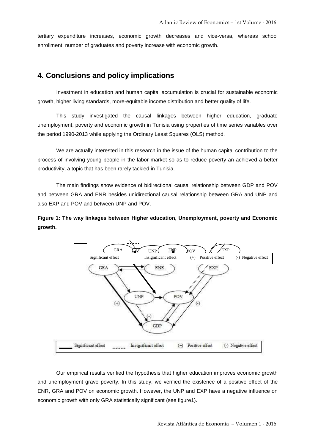tertiary expenditure increases, economic growth decreases and vice-versa, whereas school enrollment, number of graduates and poverty increase with economic growth.

## **4. Conclusions and policy implications**

 Investment in education and human capital accumulation is crucial for sustainable economic growth, higher living standards, more-equitable income distribution and better quality of life.

 This study investigated the causal linkages between higher education, graduate unemployment, poverty and economic growth in Tunisia using properties of time series variables over the period 1990-2013 while applying the Ordinary Least Squares (OLS) method.

 We are actually interested in this research in the issue of the human capital contribution to the process of involving young people in the labor market so as to reduce poverty an achieved a better productivity, a topic that has been rarely tackled in Tunisia.

 The main findings show evidence of bidirectional causal relationship between GDP and POV and between GRA and ENR besides unidirectional causal relationship between GRA and UNP and also EXP and POV and between UNP and POV.

**Figure 1: The way linkages between Higher education, Unemployment, poverty and Economic growth.** 



 Our empirical results verified the hypothesis that higher education improves economic growth and unemployment grave poverty. In this study, we verified the existence of a positive effect of the ENR, GRA and POV on economic growth. However, the UNP and EXP have a negative influence on economic growth with only GRA statistically significant (see figure1).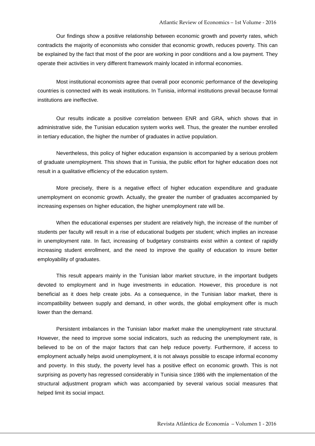Our findings show a positive relationship between economic growth and poverty rates, which contradicts the majority of economists who consider that economic growth, reduces poverty. This can be explained by the fact that most of the poor are working in poor conditions and a low payment. They operate their activities in very different framework mainly located in informal economies.

 Most institutional economists agree that overall poor economic performance of the developing countries is connected with its weak institutions. In Tunisia, informal institutions prevail because formal institutions are ineffective.

 Our results indicate a positive correlation between ENR and GRA, which shows that in administrative side, the Tunisian education system works well. Thus, the greater the number enrolled in tertiary education, the higher the number of graduates in active population.

 Nevertheless, this policy of higher education expansion is accompanied by a serious problem of graduate unemployment. This shows that in Tunisia, the public effort for higher education does not result in a qualitative efficiency of the education system.

 More precisely, there is a negative effect of higher education expenditure and graduate unemployment on economic growth. Actually, the greater the number of graduates accompanied by increasing expenses on higher education, the higher unemployment rate will be.

 When the educational expenses per student are relatively high, the increase of the number of students per faculty will result in a rise of educational budgets per student; which implies an increase in unemployment rate. In fact, increasing of budgetary constraints exist within a context of rapidly increasing student enrollment, and the need to improve the quality of education to insure better employability of graduates.

 This result appears mainly in the Tunisian labor market structure, in the important budgets devoted to employment and in huge investments in education. However, this procedure is not beneficial as it does help create jobs. As a consequence, in the Tunisian labor market, there is incompatibility between supply and demand, in other words, the global employment offer is much lower than the demand.

 Persistent imbalances in the Tunisian labor market make the unemployment rate structural. However, the need to improve some social indicators, such as reducing the unemployment rate, is believed to be on of the major factors that can help reduce poverty. Furthermore, if access to employment actually helps avoid unemployment, it is not always possible to escape informal economy and poverty. In this study, the poverty level has a positive effect on economic growth. This is not surprising as poverty has regressed considerably in Tunisia since 1986 with the implementation of the structural adjustment program which was accompanied by several various social measures that helped limit its social impact.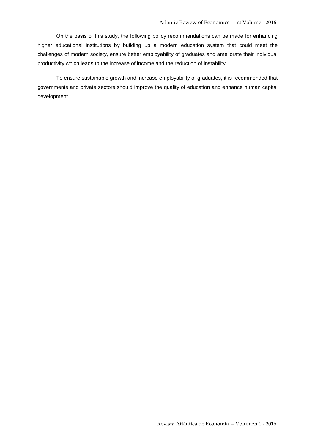On the basis of this study, the following policy recommendations can be made for enhancing higher educational institutions by building up a modern education system that could meet the challenges of modern society, ensure better employability of graduates and ameliorate their individual productivity which leads to the increase of income and the reduction of instability.

 To ensure sustainable growth and increase employability of graduates, it is recommended that governments and private sectors should improve the quality of education and enhance human capital development.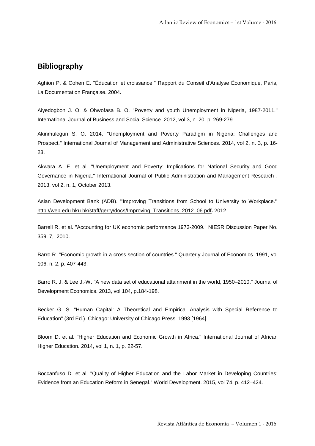# **Bibliography**

Aghion P. & Cohen E. "Éducation et croissance." Rapport du Conseil d'Analyse Économique, Paris, La Documentation Française. 2004.

Aiyedogbon J. O. & Ohwofasa B. O. "Poverty and youth Unemployment in Nigeria, 1987-2011." International Journal of Business and Social Science. 2012, vol 3, n. 20, p. 269-279.

Akinmulegun S. O. 2014. "Unemployment and Poverty Paradigm in Nigeria: Challenges and Prospect." International Journal of Management and Administrative Sciences. 2014, vol 2, n. 3, p. 16- 23.

Akwara A. F. et al. "Unemployment and Poverty: Implications for National Security and Good Governance in Nigeria." International Journal of Public Administration and Management Research . 2013, vol 2, n. 1, October 2013.

Asian Development Bank (ADB). **"**Improving Transitions from School to University to Workplace.**"** http://web.edu.hku.hk/staff/gerry/docs/Improving\_Transitions\_2012\_06.pdf**.** 2012.

Barrell R. et al. "Accounting for UK economic performance 1973-2009." NIESR Discussion Paper No. 359. 7, 2010.

Barro R. "Economic growth in a cross section of countries." Quarterly Journal of Economics. 1991, vol 106, n. 2, p. 407-443.

Barro R. J. & Lee J.-W. "A new data set of educational attainment in the world, 1950–2010." Journal of Development Economics. 2013, vol 104, p.184-198.

Becker G. S. "Human Capital: A Theoretical and Empirical Analysis with Special Reference to Education" (3rd Ed.). Chicago: University of Chicago Press. 1993 [1964].

Bloom D. et al. "Higher Education and Economic Growth in Africa." International Journal of African Higher Education. 2014, vol 1, n. 1, p. 22-57.

Boccanfuso D. et al. "Quality of Higher Education and the Labor Market in Developing Countries: Evidence from an Education Reform in Senegal." World Development. 2015, vol 74, p. 412–424.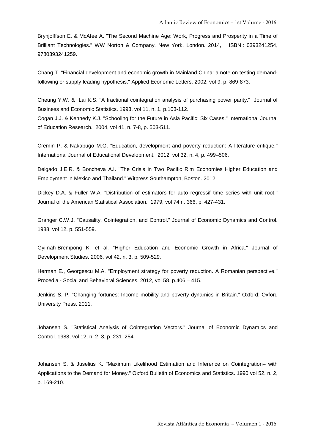Brynjolffson E. & McAfee A. "The Second Machine Age: Work, Progress and Prosperity in a Time of Brilliant Technologies." WW Norton & Company. New York, London. 2014, ISBN : 0393241254, 9780393241259.

Chang T. "Financial development and economic growth in Mainland China: a note on testing demandfollowing or supply-leading hypothesis." Applied Economic Letters. 2002, vol 9, p. 869-873.

Cheung Y.W. & Lai K.S. "A fractional cointegration analysis of purchasing power parity." Journal of Business and Economic Statistics. 1993, vol 11, n. 1, p.103-112. Cogan J.J. & Kennedy K.J. "Schooling for the Future in Asia Pacific: Six Cases." International Journal of Education Research. 2004, vol 41, n. 7-8, p. 503-511.

Cremin P. & Nakabugo M.G. "Education, development and poverty reduction: A literature critique." International Journal of Educational Development. 2012, vol 32, n. 4, p. 499–506.

Delgado J.E.R. & Boncheva A.I. "The Crisis in Two Pacific Rim Economies Higher Education and Employment in Mexico and Thailand." Witpress Southampton, Boston. 2012.

Dickey D.A. & Fuller W.A. "Distribution of estimators for auto regressif time series with unit root." Journal of the American Statistical Association. 1979, vol 74 n. 366, p. 427-431.

Granger C.W.J. "Causality, Cointegration, and Control." Journal of Economic Dynamics and Control. 1988, vol 12, p. 551-559.

Gyimah-Brempong K. et al. "Higher Education and Economic Growth in Africa." Journal of Development Studies. 2006, vol 42, n. 3, p. 509-529.

Herman E., Georgescu M.A. "Employment strategy for poverty reduction. A Romanian perspective." Procedia - Social and Behavioral Sciences. 2012, vol 58, p.406 – 415.

Jenkins S. P. "Changing fortunes: Income mobility and poverty dynamics in Britain." Oxford: Oxford University Press. 2011.

Johansen S. "Statistical Analysis of Cointegration Vectors." Journal of Economic Dynamics and Control. 1988, vol 12, n. 2–3, p. 231–254.

Johansen S. & Juselius K. "Maximum Likelihood Estimation and Inference on Cointegration– with Applications to the Demand for Money." Oxford Bulletin of Economics and Statistics. 1990 vol 52, n. 2, p. 169-210.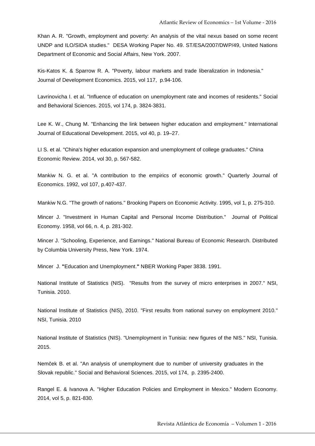Khan A. R. "Growth, employment and poverty: An analysis of the vital nexus based on some recent UNDP and ILO/SIDA studies." DESA Working Paper No. 49. ST/ESA/2007/DWP/49, United Nations Department of Economic and Social Affairs, New York. 2007.

Kis-Katos K. & Sparrow R. A. "Poverty, labour markets and trade liberalization in Indonesia." Journal of Development Economics. 2015, vol 117, p.94-106.

Lavrinovicha I. et al. "Influence of education on unemployment rate and incomes of residents." Social and Behavioral Sciences. 2015, vol 174, p. 3824-3831.

Lee K. W., Chung M. "Enhancing the link between higher education and employment." International Journal of Educational Development. 2015, vol 40, p. 19–27.

LI S. et al. "China's higher education expansion and unemployment of college graduates." China Economic Review. 2014, vol 30, p. 567-582.

Mankiw N. G. et al. "A contribution to the empirics of economic growth." Quarterly Journal of Economics. 1992, vol 107, p.407-437.

Mankiw N.G. "The growth of nations." Brooking Papers on Economic Activity. 1995, vol 1, p. 275-310.

Mincer J. "Investment in Human Capital and Personal Income Distribution." Journal of Political Economy. 1958, vol 66, n. 4, p. 281-302.

Mincer J. "Schooling, Experience, and Earnings." National Bureau of Economic Research. Distributed by Columbia University Press, New York. 1974.

Mincer J. **"**Education and Unemployment.**"** NBER Working Paper 3838. 1991.

National Institute of Statistics (NIS). "Results from the survey of micro enterprises in 2007." NSI, Tunisia. 2010.

National Institute of Statistics (NIS), 2010. "First results from national survey on employment 2010." NSI, Tunisia. 2010

National Institute of Statistics (NIS). "Unemployment in Tunisia: new figures of the NIS." NSI, Tunisia. 2015.

Nemc̆ek B. et al. "An analysis of unemployment due to number of university graduates in the Slovak republic." Social and Behavioral Sciences. 2015, vol 174, p. 2395-2400.

Rangel E. & Ivanova A. "Higher Education Policies and Employment in Mexico." Modern Economy. 2014, vol 5, p. 821-830.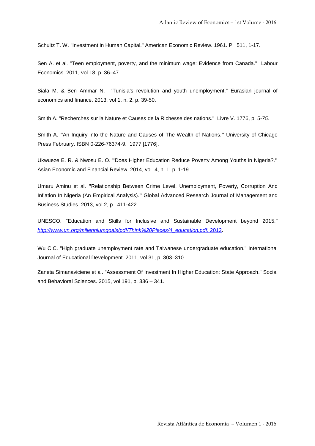Schultz T. W. "Investment in Human Capital." American Economic Review. 1961. P. 511, 1-17.

Sen A. et al. "Teen employment, poverty, and the minimum wage: Evidence from Canada." Labour Economics. 2011, vol 18, p. 36–47.

Siala M. & Ben Ammar N. "Tunisia's revolution and youth unemployment." Eurasian journal of economics and finance. 2013, vol 1, n. 2, p. 39-50.

Smith A. "Recherches sur la Nature et Causes de la Richesse des nations." Livre V. 1776, p. 5-75.

Smith A. **"**An Inquiry into the Nature and Causes of The Wealth of Nations.**"** University of Chicago Press February. ISBN 0-226-76374-9. 1977 [1776].

Ukwueze E. R. & Nwosu E. O. **"**Does Higher Education Reduce Poverty Among Youths in Nigeria?.**"** Asian Economic and Financial Review. 2014, vol 4, n. 1, p. 1-19.

Umaru Aminu et al. **"**Relationship Between Crime Level, Unemployment, Poverty, Corruption And Inflation In Nigeria (An Empirical Analysis).**"** Global Advanced Research Journal of Management and Business Studies. 2013, vol 2, p. 411-422.

UNESCO. "Education and Skills for Inclusive and Sustainable Development beyond 2015." http://www.un.org/millenniumgoals/pdf/Think%20Pieces/4\_education.pdf. 2012.

Wu C.C. "High graduate unemployment rate and Taiwanese undergraduate education." International Journal of Educational Development. 2011, vol 31, p. 303–310.

Zaneta Simanaviciene et al. "Assessment Of Investment In Higher Education: State Approach." Social and Behavioral Sciences. 2015, vol 191, p. 336 – 341.